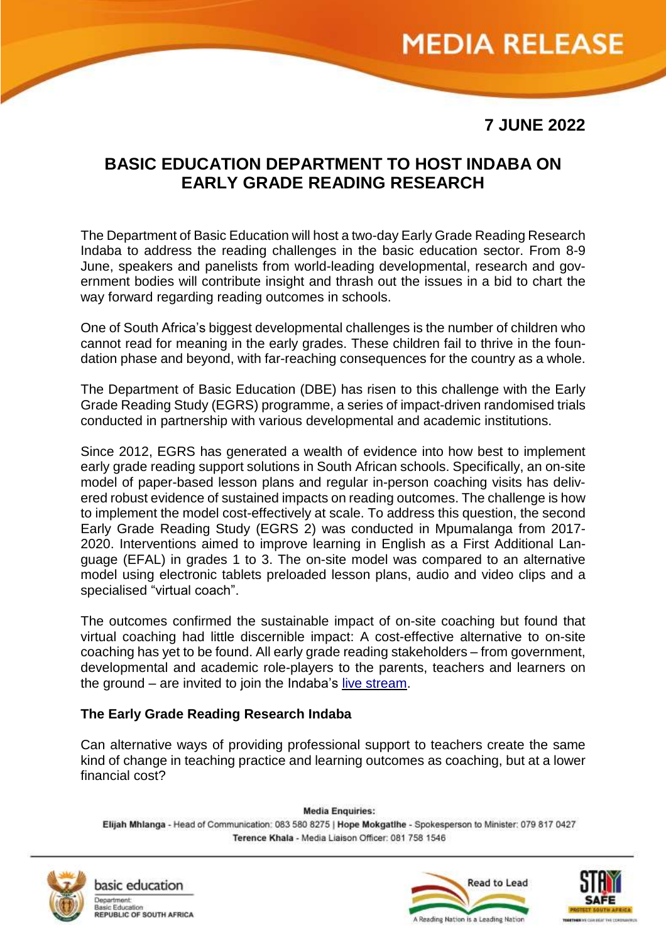## **MEDIA RELEASE**

**7 JUNE 2022**

### **BASIC EDUCATION DEPARTMENT TO HOST INDABA ON EARLY GRADE READING RESEARCH**

The Department of Basic Education will host a two-day Early Grade Reading Research Indaba to address the reading challenges in the basic education sector. From 8-9 June, speakers and panelists from world-leading developmental, research and government bodies will contribute insight and thrash out the issues in a bid to chart the way forward regarding reading outcomes in schools.

One of South Africa's biggest developmental challenges is the number of children who cannot read for meaning in the early grades. These children fail to thrive in the foundation phase and beyond, with far-reaching consequences for the country as a whole.

The Department of Basic Education (DBE) has risen to this challenge with the Early Grade Reading Study (EGRS) programme, a series of impact-driven randomised trials conducted in partnership with various developmental and academic institutions.

Since 2012, EGRS has generated a wealth of evidence into how best to implement early grade reading support solutions in South African schools. Specifically, an on-site model of paper-based lesson plans and regular in-person coaching visits has delivered robust evidence of sustained impacts on reading outcomes. The challenge is how to implement the model cost-effectively at scale. To address this question, the second Early Grade Reading Study (EGRS 2) was conducted in Mpumalanga from 2017- 2020. Interventions aimed to improve learning in English as a First Additional Language (EFAL) in grades 1 to 3. The on-site model was compared to an alternative model using electronic tablets preloaded lesson plans, audio and video clips and a specialised "virtual coach".

The outcomes confirmed the sustainable impact of on-site coaching but found that virtual coaching had little discernible impact: A cost-effective alternative to on-site coaching has yet to be found. All early grade reading stakeholders – from government, developmental and academic role-players to the parents, teachers and learners on the ground – are invited to join the Indaba's live [stream.](https://www.youtube.com/user/DBESouthAfrica)

#### **The Early Grade Reading Research Indaba**

Can alternative ways of providing professional support to teachers create the same kind of change in teaching practice and learning outcomes as coaching, but at a lower financial cost?

**Media Enquiries:** Elijah Mhlanga - Head of Communication: 083 580 8275 | Hope Mokgatihe - Spokesperson to Minister: 079 817 0427 Terence Khala - Media Liaison Officer: 081 758 1546



basic education Basic Education<br>REPUBLIC OF SOUTH AFRICA



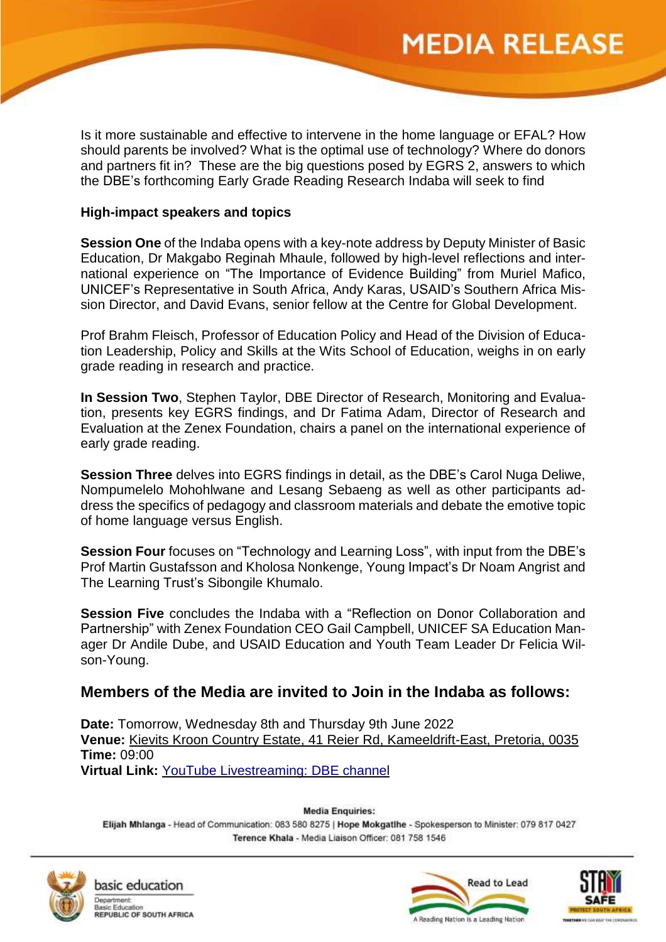# **MEDIA RELEASE**

Is it more sustainable and effective to intervene in the home language or EFAL? How should parents be involved? What is the optimal use of technology? Where do donors and partners fit in? These are the big questions posed by EGRS 2, answers to which the DBE's forthcoming Early Grade Reading Research Indaba will seek to find

#### **High-impact speakers and topics**

**Session One** of the Indaba opens with a key-note address by Deputy Minister of Basic Education, Dr Makgabo Reginah Mhaule, followed by high-level reflections and international experience on "The Importance of Evidence Building" from Muriel Mafico, UNICEF's Representative in South Africa, Andy Karas, USAID's Southern Africa Mission Director, and David Evans, senior fellow at the Centre for Global Development.

Prof Brahm Fleisch, Professor of Education Policy and Head of the Division of Education Leadership, Policy and Skills at the Wits School of Education, weighs in on early grade reading in research and practice.

**In Session Two**, Stephen Taylor, DBE Director of Research, Monitoring and Evaluation, presents key EGRS findings, and Dr Fatima Adam, Director of Research and Evaluation at the Zenex Foundation, chairs a panel on the international experience of early grade reading.

**Session Three** delves into EGRS findings in detail, as the DBE's Carol Nuga Deliwe, Nompumelelo Mohohlwane and Lesang Sebaeng as well as other participants address the specifics of pedagogy and classroom materials and debate the emotive topic of home language versus English.

**Session Four** focuses on "Technology and Learning Loss", with input from the DBE's Prof Martin Gustafsson and Kholosa Nonkenge, Young Impact's Dr Noam Angrist and The Learning Trust's Sibongile Khumalo.

**Session Five** concludes the Indaba with a "Reflection on Donor Collaboration and Partnership" with Zenex Foundation CEO Gail Campbell, UNICEF SA Education Manager Dr Andile Dube, and USAID Education and Youth Team Leader Dr Felicia Wilson-Young.

### **Members of the Media are invited to Join in the Indaba as follows:**

**Date:** Tomorrow, Wednesday 8th and Thursday 9th June 2022 **Venue:** Kievits Kroon Country Estate, [41 Reier Rd, Kameeldrift-East, Pretoria, 0035](https://www.google.com/maps/place/Kievits+Kroon+Gauteng+Wine+Estate/@-25.6587354,28.318374,17z/data=!3m1!4b1!4m8!3m7!1s0x1ebfe08b350a870d:0x964d922eb2be23d9!5m2!4m1!1i2!8m2!3d-25.6587354!4d28.3205627) **Time:** 09:00 **Virtual Link:** YouTube [Livestreaming:](https://www.youtube.com/user/DBESouthAfrica) DBE channel

**Media Enquiries:** Elijah Mhlanga - Head of Communication: 083 580 8275 | Hope Mokgatihe - Spokesperson to Minister: 079 817 0427 Terence Khala - Media Liaison Officer: 081 758 1546



basic education Basic Education<br>REPUBLIC OF SOUTH AFRICA